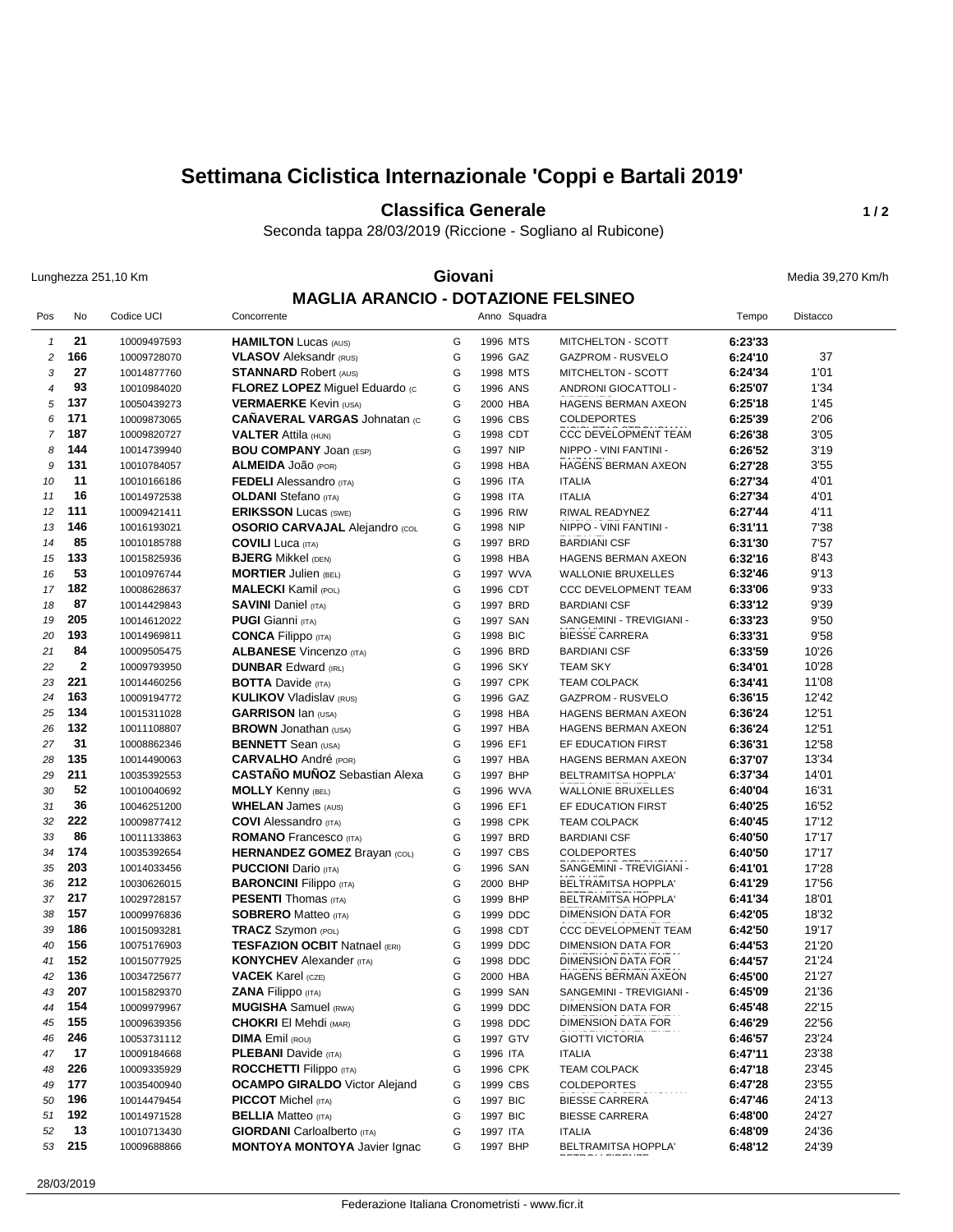## **Settimana Ciclistica Internazionale 'Coppi e Bartali 2019'**

**Classifica Generale 1/2** 

Seconda tappa 28/03/2019 (Riccione - Sogliano al Rubicone)

Lunghezza 251,10 Km **Giovani** Media 39,270 Km/h **MAGLIA ARANCIO - DOTAZIONE FELSINEO**

| Pos              | No           | Codice UCI                 | Concorrente                                              |        | Anno Squadra         |                                            | Tempo              | Distacco       |
|------------------|--------------|----------------------------|----------------------------------------------------------|--------|----------------------|--------------------------------------------|--------------------|----------------|
| $\mathbf{1}$     | 21           | 10009497593                | <b>HAMILTON Lucas (AUS)</b>                              | G      | 1996 MTS             | MITCHELTON - SCOTT                         | 6:23'33            |                |
| $\boldsymbol{2}$ | 166          | 10009728070                | <b>VLASOV</b> Aleksandr (RUS)                            | G      | 1996 GAZ             | <b>GAZPROM - RUSVELO</b>                   | 6:24'10            | 37             |
| 3                | 27           | 10014877760                | <b>STANNARD Robert (AUS)</b>                             | G      | 1998 MTS             | MITCHELTON - SCOTT                         | 6:24'34            | 1'01           |
| 4                | 93           | 10010984020                | <b>FLOREZ LOPEZ Miguel Eduardo (c)</b>                   | G      | 1996 ANS             | ANDRONI GIOCATTOLI -                       | 6:25'07            | 1'34           |
| 5                | 137          | 10050439273                | <b>VERMAERKE</b> Kevin (USA)                             | G      | 2000 HBA             | HAGENS BERMAN AXEON                        | 6:25'18            | 1'45           |
| 6                | 171          | 10009873065                | <b>CAÑAVERAL VARGAS Johnatan (c)</b>                     | G      | 1996 CBS             | <b>COLDEPORTES</b>                         | 6:25'39            | 2'06           |
| $\overline{7}$   | 187          | 10009820727                | <b>VALTER Attila (HUN)</b>                               | G      | 1998 CDT             | <b>CCC DEVELOPMENT TEAM</b>                | 6:26'38            | 3'05           |
| 8                | 144          | 10014739940                | <b>BOU COMPANY JOAN (ESP)</b>                            | G      | 1997 NIP             | NIPPO - VINI FANTINI -                     | 6:26'52            | 3'19           |
| 9                | 131          | 10010784057                | <b>ALMEIDA JOÃO (POR)</b>                                | G      | 1998 HBA             | HAGENS BERMAN AXEON                        | 6:27'28            | 3'55           |
| 10               | 11           | 10010166186                | <b>FEDELI</b> Alessandro (ITA)                           | G      | 1996 ITA             | <b>ITALIA</b>                              | 6:27'34            | 4'01           |
| 11               | 16           | 10014972538                | <b>OLDANI</b> Stefano (ITA)                              | G      | 1998 ITA             | <b>ITALIA</b>                              | 6:27'34            | 4'01           |
| 12               | 111          | 10009421411                | <b>ERIKSSON Lucas (SWE)</b>                              | G      | 1996 RIW             | RIWAL READYNEZ                             | 6:27'44            | 4'11           |
| 13               | 146          | 10016193021                | <b>OSORIO CARVAJAL Alejandro (COL</b>                    | G      | 1998 NIP             | NIPPO - VINI FANTINI -                     | 6:31'11            | 7'38           |
| 14               | 85           | 10010185788                | <b>COVILI</b> Luca (ITA)                                 | G      | 1997 BRD             | <b>BARDIANI CSF</b>                        | 6:31'30            | 7'57           |
| 15               | 133          | 10015825936                | <b>BJERG Mikkel (DEN)</b>                                | G      | 1998 HBA             | HAGENS BERMAN AXEON                        | 6:32'16            | 8'43           |
| 16               | 53           | 10010976744                | <b>MORTIER Julien (BEL)</b>                              | G      | 1997 WVA             | <b>WALLONIE BRUXELLES</b>                  | 6:32'46            | 9'13           |
| 17               | 182          | 10008628637                | <b>MALECKI</b> Kamil (POL)                               | G      | 1996 CDT             | <b>CCC DEVELOPMENT TEAM</b>                | 6:33'06            | 9'33           |
| 18               | 87           | 10014429843                | <b>SAVINI</b> Daniel (ITA)                               | G      | 1997 BRD             | <b>BARDIANI CSF</b>                        | 6:33'12            | 9'39           |
| 19               | 205          | 10014612022                | <b>PUGI</b> Gianni (ITA)                                 | G      | 1997 SAN             | SANGEMINI - TREVIGIANI -                   | 6:33'23            | 9'50           |
| 20               | 193          | 10014969811                | <b>CONCA Filippo (ITA)</b>                               | G      | 1998 BIC             | <b>BIESSE CARRERA</b>                      | 6:33'31            | 9'58           |
| 21               | 84           | 10009505475                | <b>ALBANESE</b> Vincenzo (ITA)                           | G      | 1996 BRD             | <b>BARDIANI CSF</b>                        | 6:33'59            | 10'26          |
| 22               | $\mathbf{2}$ | 10009793950                | <b>DUNBAR Edward (IRL)</b>                               | G      | 1996 SKY             | <b>TEAM SKY</b>                            | 6:34'01            | 10'28          |
| 23               | 221          | 10014460256                | <b>BOTTA</b> Davide (ITA)                                | G      | 1997 CPK             | <b>TEAM COLPACK</b>                        | 6:34'41            | 11'08          |
| 24               | 163          | 10009194772                | <b>KULIKOV Vladislav (RUS)</b>                           | G      | 1996 GAZ             | <b>GAZPROM - RUSVELO</b>                   | 6:36'15            | 12'42          |
| 25               | 134<br>132   | 10015311028                | <b>GARRISON</b> Ian (USA)                                | G      | 1998 HBA             | HAGENS BERMAN AXEON                        | 6:36'24            | 12'51          |
| 26               | 31           | 10011108807                | <b>BROWN</b> Jonathan (USA)                              | G<br>G | 1997 HBA<br>1996 EF1 | HAGENS BERMAN AXEON                        | 6:36'24            | 12'51          |
| 27               | 135          | 10008862346                | <b>BENNETT</b> Sean (USA)<br><b>CARVALHO</b> André (POR) | G      |                      | EF EDUCATION FIRST                         | 6:36'31            | 12'58<br>13'34 |
| 28<br>29         | 211          | 10014490063<br>10035392553 | <b>CASTAÑO MUÑOZ</b> Sebastian Alexa                     | G      | 1997 HBA             | HAGENS BERMAN AXEON<br>BELTRAMITSA HOPPLA' | 6:37'07<br>6:37'34 | 14'01          |
| 30               | 52           | 10010040692                | <b>MOLLY</b> Kenny (BEL)                                 | G      | 1997 BHP<br>1996 WVA | <b>WALLONIE BRUXELLES</b>                  | 6:40'04            | 16'31          |
| 31               | 36           | 10046251200                | <b>WHELAN James (AUS)</b>                                | G      | 1996 EF1             | EF EDUCATION FIRST                         | 6:40'25            | 16'52          |
| 32               | 222          | 10009877412                | <b>COVI</b> Alessandro (ITA)                             | G      | 1998 CPK             | <b>TEAM COLPACK</b>                        | 6:40'45            | 17'12          |
| 33               | 86           | 10011133863                | <b>ROMANO</b> Francesco (ITA)                            | G      | 1997 BRD             | <b>BARDIANI CSF</b>                        | 6:40'50            | 17'17          |
| 34               | 174          | 10035392654                | <b>HERNANDEZ GOMEZ Brayan (COL)</b>                      | G      | 1997 CBS             | <b>COLDEPORTES</b>                         | 6:40'50            | 17'17          |
| 35               | 203          | 10014033456                | <b>PUCCIONI</b> Dario (ITA)                              | G      | 1996 SAN             | SANGEMINI - TREVIGIANI -                   | 6:41'01            | 17'28          |
| 36               | 212          | 10030626015                | <b>BARONCINI Filippo</b> (ITA)                           | G      | 2000 BHP             | BELTRAMITSA HOPPLA'                        | 6:41'29            | 17'56          |
| 37               | 217          | 10029728157                | <b>PESENTI</b> Thomas (ITA)                              | G      | 1999 BHP             | BELTRAMITSA HOPPLA'                        | 6:41'34            | 18'01          |
| 38               | 157          | 10009976836                | <b>SOBRERO</b> Matteo (ITA)                              | G      | 1999 DDC             | <b>DIMENSION DATA FOR</b>                  | 6:42'05            | 18'32          |
| 39               | 186          | 10015093281                | <b>TRACZ</b> Szymon (POL)                                | G      | 1998 CDT             | <b>CCC DEVELOPMENT TEAM</b>                | 6:42'50            | 19'17          |
| 40               | 156          | 10075176903                | <b>TESFAZION OCBIT Natnael (ERI)</b>                     | G      | 1999 DDC             | <b>DIMENSION DATA FOR</b>                  | 6:44'53            | 21'20          |
| 41               | 152          | 10015077925                | <b>KONYCHEV</b> Alexander (ITA)                          | G      | 1998 DDC             | DIMENSION DATA FOR                         | 6:44'57            | 21'24          |
| 42               | 136          | 10034725677                | <b>VACEK</b> Karel (CZE)                                 | G      | 2000 HBA             | HAGENS BERMAN AXEON                        | 6:45'00            | 21'27          |
| 43               | 207          | 10015829370                | <b>ZANA Filippo</b> (ITA)                                | G      | 1999 SAN             | SANGEMINI - TREVIGIANI -                   | 6:45'09            | 21'36          |
| 44               | 154          | 10009979967                | <b>MUGISHA</b> Samuel (RWA)                              | G      | 1999 DDC             | <b>DIMENSION DATA FOR</b>                  | 6:45'48            | 22'15          |
| 45               | 155          | 10009639356                | <b>CHOKRI</b> El Mehdi (MAR)                             | G      | 1998 DDC             | DIMENSION DATA FOR                         | 6:46'29            | 22'56          |
| 46               | 246          | 10053731112                | <b>DIMA</b> Emil (ROU)                                   | G      | 1997 GTV             | <b>GIOTTI VICTORIA</b>                     | 6:46'57            | 23'24          |
| 47               | 17           | 10009184668                | <b>PLEBANI</b> Davide (ITA)                              | G      | 1996 ITA             | <b>ITALIA</b>                              | 6:47'11            | 23'38          |
| 48               | 226          | 10009335929                | <b>ROCCHETTI Filippo</b> (ITA)                           | G      | 1996 CPK             | <b>TEAM COLPACK</b>                        | 6:47'18            | 23'45          |
| 49               | 177          | 10035400940                | <b>OCAMPO GIRALDO</b> Victor Alejand                     | G      | 1999 CBS             | COLDEPORTES                                | 6:47'28            | 23'55          |
| 50               | 196          | 10014479454                | <b>PICCOT</b> Michel (ITA)                               | G      | 1997 BIC             | <b>BIESSE CARRERA</b>                      | 6:47'46            | 24'13          |
| 51               | 192          | 10014971528                | <b>BELLIA</b> Matteo (ITA)                               | G      | 1997 BIC             | <b>BIESSE CARRERA</b>                      | 6:48'00            | 24'27          |
| 52               | 13           | 10010713430                | <b>GIORDANI</b> Carloalberto (ITA)                       | G      | 1997 ITA             | <b>ITALIA</b>                              | 6:48'09            | 24'36          |
| 53               | 215          | 10009688866                | <b>MONTOYA MONTOYA Javier Ignac</b>                      | G      | 1997 BHP             | BELTRAMITSA HOPPLA'                        | 6:48'12            | 24'39          |